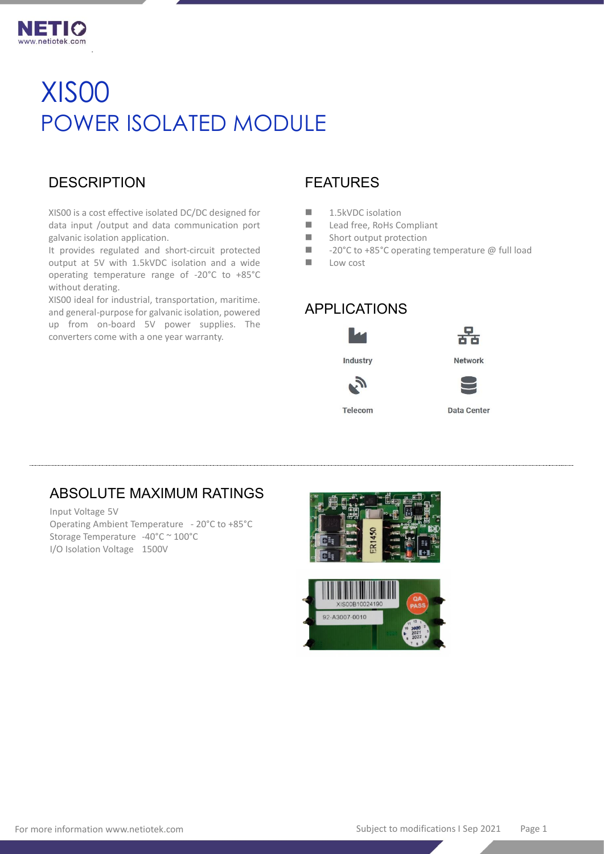

# XIS00 POWER ISOLATED MODULE

# **DESCRIPTION**

.

XIS00 is a cost effective isolated DC/DC designed for data input /output and data communication port galvanic isolation application.

It provides regulated and short-circuit protected output at 5V with 1.5kVDC isolation and a wide operating temperature range of -20°C to +85°C without derating.

XIS00 ideal for industrial, transportation, maritime. and general-purpose for galvanic isolation, powered up from on-board 5V power supplies. The converters come with a one year warranty.

# FEATURES

- 1.5kVDC isolation
- Lead free, RoHs Compliant
- $\blacksquare$  Short output protection
- -20°C to +85°C operating temperature @ full load
- Low cost

# APPLICATIONS





Industry



Telecom

**Data Center** 

# ABSOLUTE MAXIMUM RATINGS

Input Voltage 5V Operating Ambient Temperature - 20°C to +85°C Storage Temperature -40°C ~ 100°C I/O Isolation Voltage 1500V



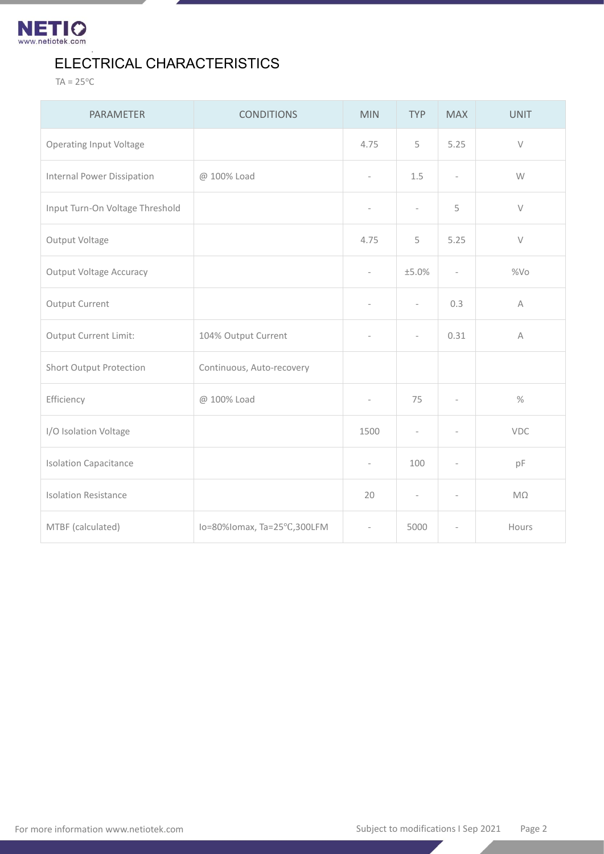

# ELECTRICAL CHARACTERISTICS

 $TA = 25^{\circ}C$ 

.

| <b>PARAMETER</b>                | <b>CONDITIONS</b>           | <b>MIN</b>               | <b>TYP</b>               | <b>MAX</b>               | <b>UNIT</b> |
|---------------------------------|-----------------------------|--------------------------|--------------------------|--------------------------|-------------|
| <b>Operating Input Voltage</b>  |                             | 4.75                     | 5                        | 5.25                     | $\vee$      |
| Internal Power Dissipation      | @ 100% Load                 | $\overline{\phantom{a}}$ | 1.5                      | $\overline{\phantom{a}}$ | W           |
| Input Turn-On Voltage Threshold |                             | $\bar{ }$                | $\overline{\phantom{a}}$ | 5                        | $\vee$      |
| Output Voltage                  |                             | 4.75                     | 5                        | 5.25                     | $\vee$      |
| <b>Output Voltage Accuracy</b>  |                             | $\overline{\phantom{a}}$ | ±5.0%                    | $\overline{\phantom{a}}$ | %Vo         |
| Output Current                  |                             | $\bar{ }$                | $\overline{\phantom{a}}$ | 0.3                      | $\mathsf A$ |
| Output Current Limit:           | 104% Output Current         | $\frac{1}{2}$            | L,                       | 0.31                     | $\mathsf A$ |
| Short Output Protection         | Continuous, Auto-recovery   |                          |                          |                          |             |
| Efficiency                      | @ 100% Load                 | $\sim$                   | 75                       | ٠                        | $\%$        |
| I/O Isolation Voltage           |                             | 1500                     | $\frac{1}{2}$            | $\overline{\phantom{a}}$ | <b>VDC</b>  |
| <b>Isolation Capacitance</b>    |                             | $\overline{\phantom{a}}$ | 100                      | $\overline{\phantom{a}}$ | pF          |
| <b>Isolation Resistance</b>     |                             | 20                       | $\overline{a}$           | $\overline{\phantom{a}}$ | $M\Omega$   |
| MTBF (calculated)               | lo=80%lomax, Ta=25°C,300LFM | $\overline{\phantom{a}}$ | 5000                     | $\overline{\phantom{a}}$ | Hours       |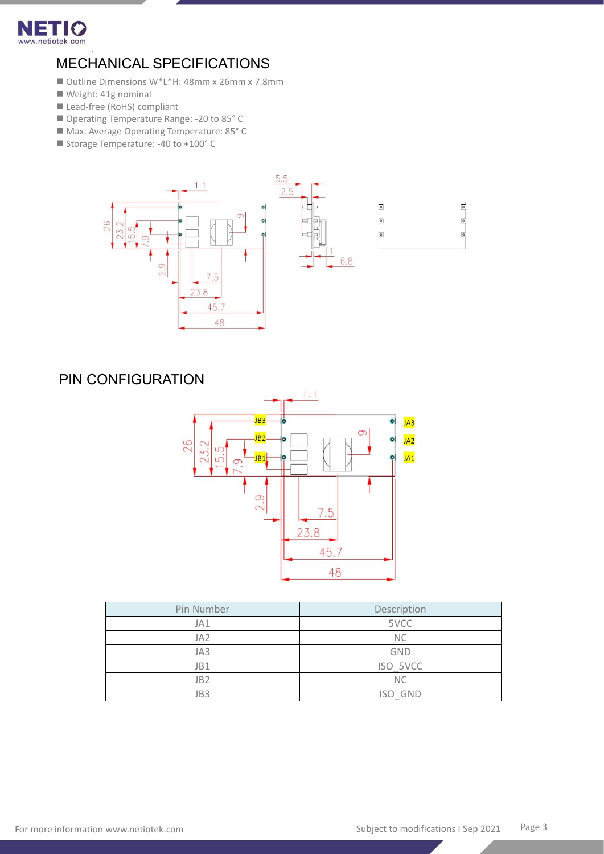

### . MECHANICAL SPECIFICATIONS

- Outline Dimensions W\*L\*H: 48mm x 26mm x 7.8mm
- Weight: 41g nominal
- Lead-free (RoHS) compliant
- Operating Temperature Range: -20 to 85° C
- Max. Average Operating Temperature: 85°C
- Storage Temperature: -40 to +100° C



# PIN CONFIGURATION



| Pin Number      | Description |  |  |
|-----------------|-------------|--|--|
| JA1             | 5VCC        |  |  |
| JA <sub>2</sub> | <b>NC</b>   |  |  |
| JA3             | <b>GND</b>  |  |  |
| JB1             | ISO 5VCC    |  |  |
| JB <sub>2</sub> | <b>NC</b>   |  |  |
| JB3             | ISO GND     |  |  |